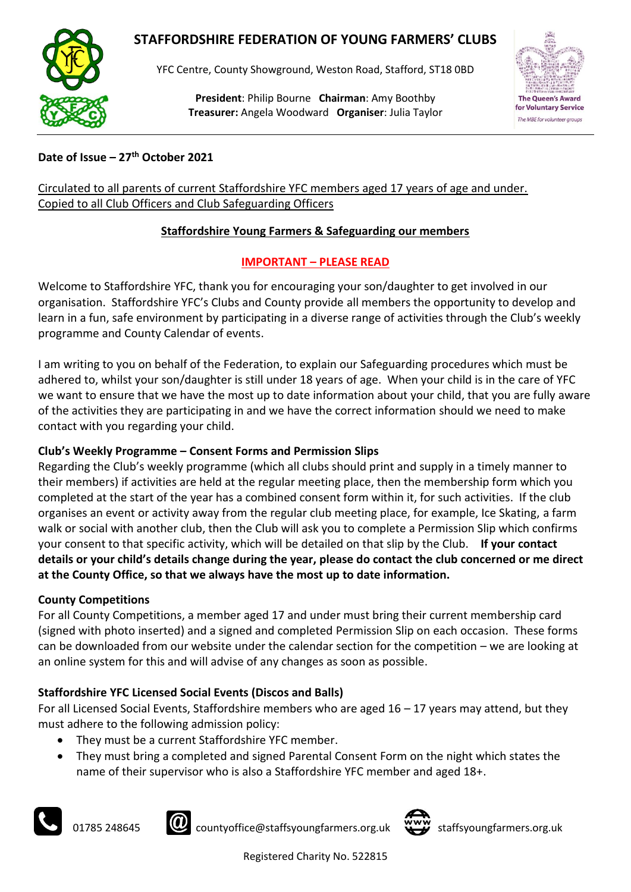# **STAFFORDSHIRE FEDERATION OF YOUNG FARMERS' CLUBS**



YFC Centre, County Showground, Weston Road, Stafford, ST18 0BD

**President**: Philip Bourne **Chairman**: Amy Boothby **Treasurer:** Angela Woodward **Organiser**: Julia Taylor



### **Date of Issue – 27th October 2021**

Circulated to all parents of current Staffordshire YFC members aged 17 years of age and under. Copied to all Club Officers and Club Safeguarding Officers

### **Staffordshire Young Farmers & Safeguarding our members**

### **IMPORTANT – PLEASE READ**

Welcome to Staffordshire YFC, thank you for encouraging your son/daughter to get involved in our organisation. Staffordshire YFC's Clubs and County provide all members the opportunity to develop and learn in a fun, safe environment by participating in a diverse range of activities through the Club's weekly programme and County Calendar of events.

I am writing to you on behalf of the Federation, to explain our Safeguarding procedures which must be adhered to, whilst your son/daughter is still under 18 years of age. When your child is in the care of YFC we want to ensure that we have the most up to date information about your child, that you are fully aware of the activities they are participating in and we have the correct information should we need to make contact with you regarding your child.

## **Club's Weekly Programme – Consent Forms and Permission Slips**

Regarding the Club's weekly programme (which all clubs should print and supply in a timely manner to their members) if activities are held at the regular meeting place, then the membership form which you completed at the start of the year has a combined consent form within it, for such activities. If the club organises an event or activity away from the regular club meeting place, for example, Ice Skating, a farm walk or social with another club, then the Club will ask you to complete a Permission Slip which confirms your consent to that specific activity, which will be detailed on that slip by the Club. **If your contact details or your child's details change during the year, please do contact the club concerned or me direct at the County Office, so that we always have the most up to date information.**

#### **County Competitions**

For all County Competitions, a member aged 17 and under must bring their current membership card (signed with photo inserted) and a signed and completed Permission Slip on each occasion. These forms can be downloaded from our website under the calendar section for the competition – we are looking at an online system for this and will advise of any changes as soon as possible.

## **Staffordshire YFC Licensed Social Events (Discos and Balls)**

For all Licensed Social Events, Staffordshire members who are aged  $16 - 17$  years may attend, but they must adhere to the following admission policy:

- They must be a current Staffordshire YFC member.
- They must bring a completed and signed Parental Consent Form on the night which states the name of their supervisor who is also a Staffordshire YFC member and aged 18+.





01785 248645 **CO** countyoffice@staffsyoungfarmers.org.uk **www** staffsyoungfarmers.org.uk